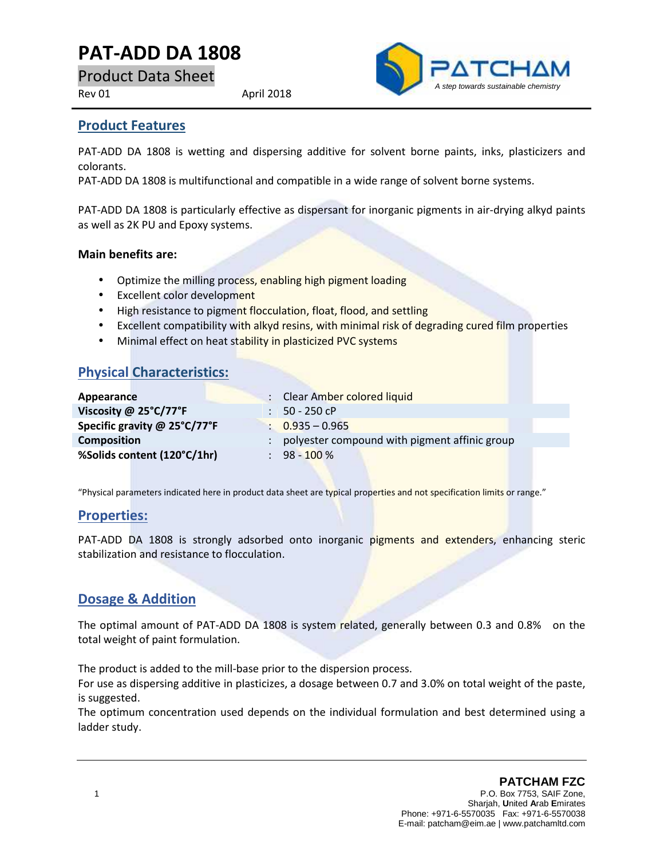# **PAT-ADD DA 1808**

Product Data Sheet

Rev 01 April 2018



### **Product Features**

PAT-ADD DA 1808 is wetting and dispersing additive for solvent borne paints, inks, plasticizers and colorants.

PAT-ADD DA 1808 is multifunctional and compatible in a wide range of solvent borne systems.

PAT-ADD DA 1808 is particularly effective as dispersant for inorganic pigments in air-drying alkyd paints as well as 2K PU and Epoxy systems.

#### **Main benefits are:**

- Optimize the milling process, enabling high pigment loading
- Excellent color development
- High resistance to pigment flocculation, float, flood, and settling
- **Excellent compatibility with alkyd resins, with minimal risk of degrading cured film properties**
- Minimal effect on heat stability in plasticized PVC systems

### **Physical Characteristics:**

| Appearance                   | : Clear Amber colored liquid                  |
|------------------------------|-----------------------------------------------|
| Viscosity @ 25°C/77°F        | $: 50 - 250$ cP                               |
| Specific gravity @ 25°C/77°F | $\therefore$ 0.935 - 0.965                    |
| <b>Composition</b>           | polyester compound with pigment affinic group |
| %Solids content (120°C/1hr)  | $: 98 - 100 \%$                               |

"Physical parameters indicated here in product data sheet are typical properties and not specification limits or range."

### **Properties:**

PAT-ADD DA 1808 is strongly adsorbed onto inorganic pigments and extenders, enhancing steric stabilization and resistance to flocculation.

### **Dosage & Addition**

The optimal amount of PAT-ADD DA 1808 is system related, generally between 0.3 and 0.8% on the total weight of paint formulation.

The product is added to the mill-base prior to the dispersion process.

For use as dispersing additive in plasticizes, a dosage between 0.7 and 3.0% on total weight of the paste, is suggested.

The optimum concentration used depends on the individual formulation and best determined using a ladder study.